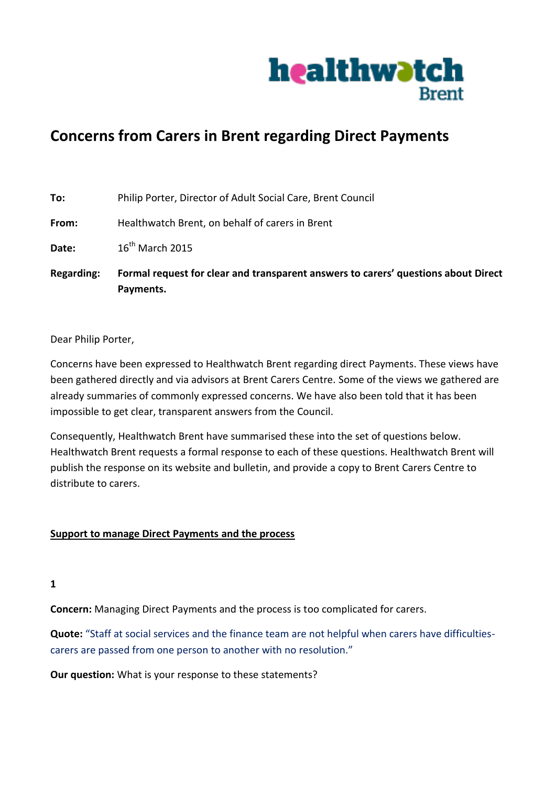

# **Concerns from Carers in Brent regarding Direct Payments**

| To: | Philip Porter, Director of Adult Social Care, Brent Council |
|-----|-------------------------------------------------------------|
|     |                                                             |

**From:** Healthwatch Brent, on behalf of carers in Brent

**Date:** 16<sup>th</sup> March 2015

**Regarding: Formal request for clear and transparent answers to carers' questions about Direct Payments.**

Dear Philip Porter,

Concerns have been expressed to Healthwatch Brent regarding direct Payments. These views have been gathered directly and via advisors at Brent Carers Centre. Some of the views we gathered are already summaries of commonly expressed concerns. We have also been told that it has been impossible to get clear, transparent answers from the Council.

Consequently, Healthwatch Brent have summarised these into the set of questions below. Healthwatch Brent requests a formal response to each of these questions. Healthwatch Brent will publish the response on its website and bulletin, and provide a copy to Brent Carers Centre to distribute to carers.

# **Support to manage Direct Payments and the process**

**1**

**Concern:** Managing Direct Payments and the process is too complicated for carers.

**Quote:** "Staff at social services and the finance team are not helpful when carers have difficultiescarers are passed from one person to another with no resolution."

**Our question:** What is your response to these statements?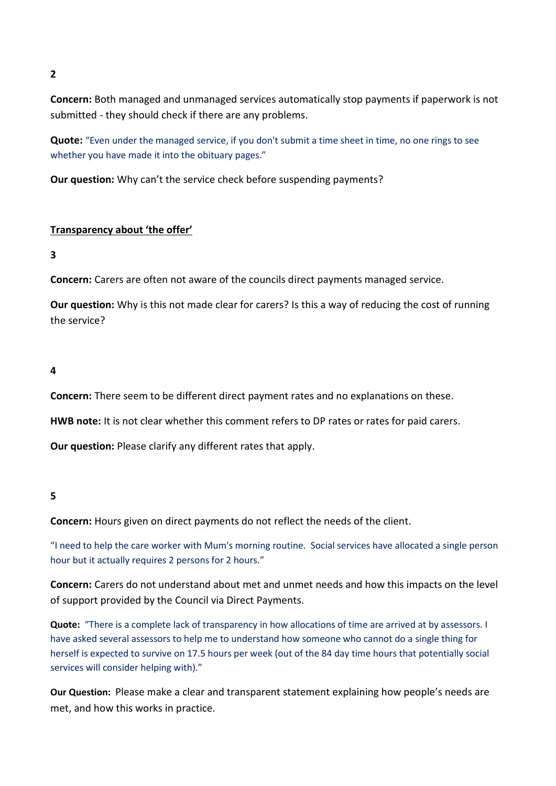**2**

**Concern:** Both managed and unmanaged services automatically stop payments if paperwork is not submitted - they should check if there are any problems.

**Quote:** "Even under the managed service, if you don't submit a time sheet in time, no one rings to see whether you have made it into the obituary pages."

**Our question:** Why can't the service check before suspending payments?

# **Transparency about 'the offer'**

**3**

**Concern:** Carers are often not aware of the councils direct payments managed service.

**Our question:** Why is this not made clear for carers? Is this a way of reducing the cost of running the service?

**4**

**Concern:** There seem to be different direct payment rates and no explanations on these.

**HWB note:** It is not clear whether this comment refers to DP rates or rates for paid carers.

**Our question:** Please clarify any different rates that apply.

# **5**

**Concern:** Hours given on direct payments do not reflect the needs of the client.

"I need to help the care worker with Mum's morning routine. Social services have allocated a single person hour but it actually requires 2 persons for 2 hours."

**Concern:** Carers do not understand about met and unmet needs and how this impacts on the level of support provided by the Council via Direct Payments.

**Quote:** "There is a complete lack of transparency in how allocations of time are arrived at by assessors. I have asked several assessors to help me to understand how someone who cannot do a single thing for herself is expected to survive on 17.5 hours per week (out of the 84 day time hours that potentially social services will consider helping with)."

**Our Question:** Please make a clear and transparent statement explaining how people's needs are met, and how this works in practice.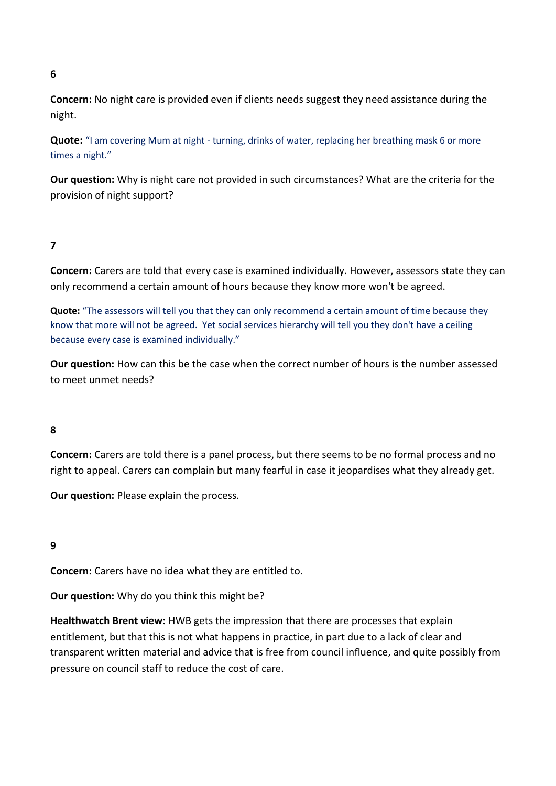## **6**

**Concern:** No night care is provided even if clients needs suggest they need assistance during the night.

**Quote:** "I am covering Mum at night - turning, drinks of water, replacing her breathing mask 6 or more times a night."

**Our question:** Why is night care not provided in such circumstances? What are the criteria for the provision of night support?

# **7**

**Concern:** Carers are told that every case is examined individually. However, assessors state they can only recommend a certain amount of hours because they know more won't be agreed.

**Quote:** "The assessors will tell you that they can only recommend a certain amount of time because they know that more will not be agreed. Yet social services hierarchy will tell you they don't have a ceiling because every case is examined individually."

**Our question:** How can this be the case when the correct number of hours is the number assessed to meet unmet needs?

# **8**

**Concern:** Carers are told there is a panel process, but there seems to be no formal process and no right to appeal. Carers can complain but many fearful in case it jeopardises what they already get.

**Our question:** Please explain the process.

# **9**

**Concern:** Carers have no idea what they are entitled to.

**Our question:** Why do you think this might be?

**Healthwatch Brent view:** HWB gets the impression that there are processes that explain entitlement, but that this is not what happens in practice, in part due to a lack of clear and transparent written material and advice that is free from council influence, and quite possibly from pressure on council staff to reduce the cost of care.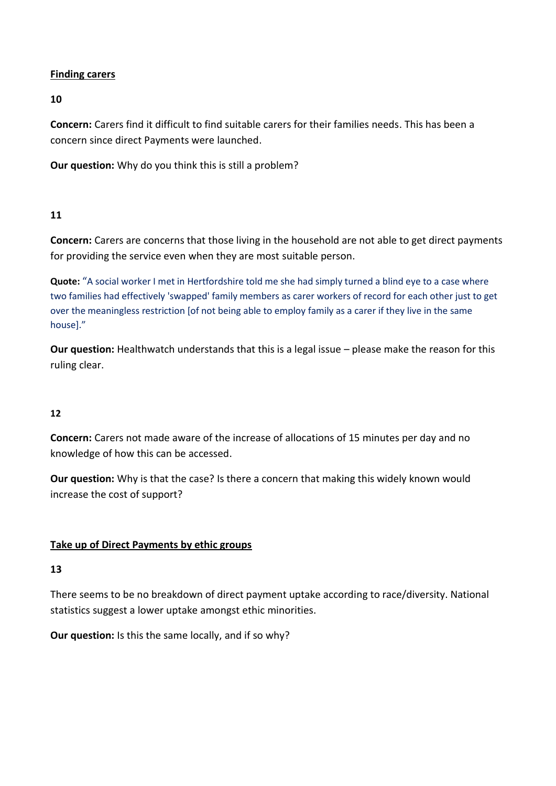# **Finding carers**

**10**

**Concern:** Carers find it difficult to find suitable carers for their families needs. This has been a concern since direct Payments were launched.

**Our question:** Why do you think this is still a problem?

# **11**

**Concern:** Carers are concerns that those living in the household are not able to get direct payments for providing the service even when they are most suitable person.

**Quote:** "A social worker I met in Hertfordshire told me she had simply turned a blind eye to a case where two families had effectively 'swapped' family members as carer workers of record for each other just to get over the meaningless restriction [of not being able to employ family as a carer if they live in the same house]."

**Our question:** Healthwatch understands that this is a legal issue – please make the reason for this ruling clear.

# **12**

**Concern:** Carers not made aware of the increase of allocations of 15 minutes per day and no knowledge of how this can be accessed.

**Our question:** Why is that the case? Is there a concern that making this widely known would increase the cost of support?

# **Take up of Direct Payments by ethic groups**

# **13**

There seems to be no breakdown of direct payment uptake according to race/diversity. National statistics suggest a lower uptake amongst ethic minorities.

**Our question:** Is this the same locally, and if so why?